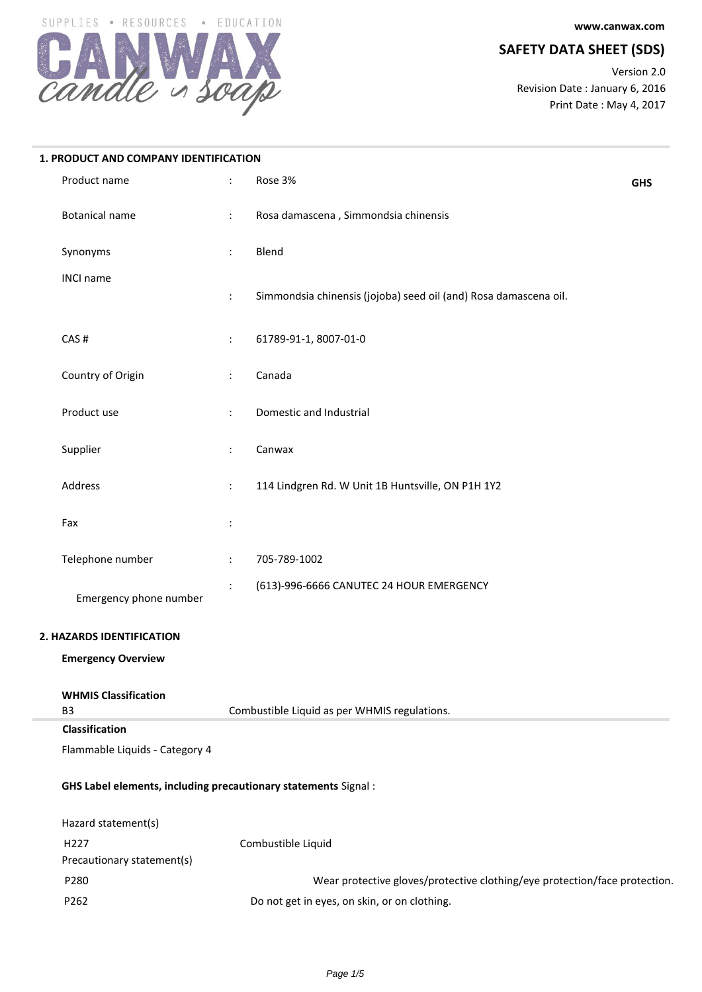**www.canwax.com**

# **SAFETY DATA SHEET (SDS)**

Version 2.0 Revision Date : January 6, 2016 Print Date : May 4, 2017



| 1. PRODUCT AND COMPANY IDENTIFICATION                           |                      |                                                                            |            |
|-----------------------------------------------------------------|----------------------|----------------------------------------------------------------------------|------------|
| Product name                                                    | $\ddot{\cdot}$       | Rose 3%                                                                    | <b>GHS</b> |
| <b>Botanical name</b>                                           | $\ddot{\phantom{a}}$ | Rosa damascena, Simmondsia chinensis                                       |            |
| Synonyms                                                        | ÷                    | Blend                                                                      |            |
| <b>INCI name</b>                                                | $\ddot{\cdot}$       | Simmondsia chinensis (jojoba) seed oil (and) Rosa damascena oil.           |            |
| CAS#                                                            | $\ddot{\cdot}$       | 61789-91-1, 8007-01-0                                                      |            |
| Country of Origin                                               | $\ddot{\cdot}$       | Canada                                                                     |            |
| Product use                                                     | $\ddot{\cdot}$       | Domestic and Industrial                                                    |            |
| Supplier                                                        | $\ddot{\cdot}$       | Canwax                                                                     |            |
| Address                                                         | $\ddot{\phantom{a}}$ | 114 Lindgren Rd. W Unit 1B Huntsville, ON P1H 1Y2                          |            |
| Fax                                                             | $\ddot{\cdot}$       |                                                                            |            |
| Telephone number                                                | $\ddot{\cdot}$       | 705-789-1002                                                               |            |
| Emergency phone number                                          |                      | (613)-996-6666 CANUTEC 24 HOUR EMERGENCY                                   |            |
| 2. HAZARDS IDENTIFICATION                                       |                      |                                                                            |            |
| <b>Emergency Overview</b>                                       |                      |                                                                            |            |
| <b>WHMIS Classification</b><br>B <sub>3</sub>                   |                      | Combustible Liquid as per WHMIS regulations.                               |            |
| Classification                                                  |                      |                                                                            |            |
| Flammable Liquids - Category 4                                  |                      |                                                                            |            |
| GHS Label elements, including precautionary statements Signal : |                      |                                                                            |            |
| Hazard statement(s)                                             |                      |                                                                            |            |
| H227                                                            |                      | Combustible Liquid                                                         |            |
| Precautionary statement(s)                                      |                      |                                                                            |            |
| P280                                                            |                      | Wear protective gloves/protective clothing/eye protection/face protection. |            |
| P262                                                            |                      | Do not get in eyes, on skin, or on clothing.                               |            |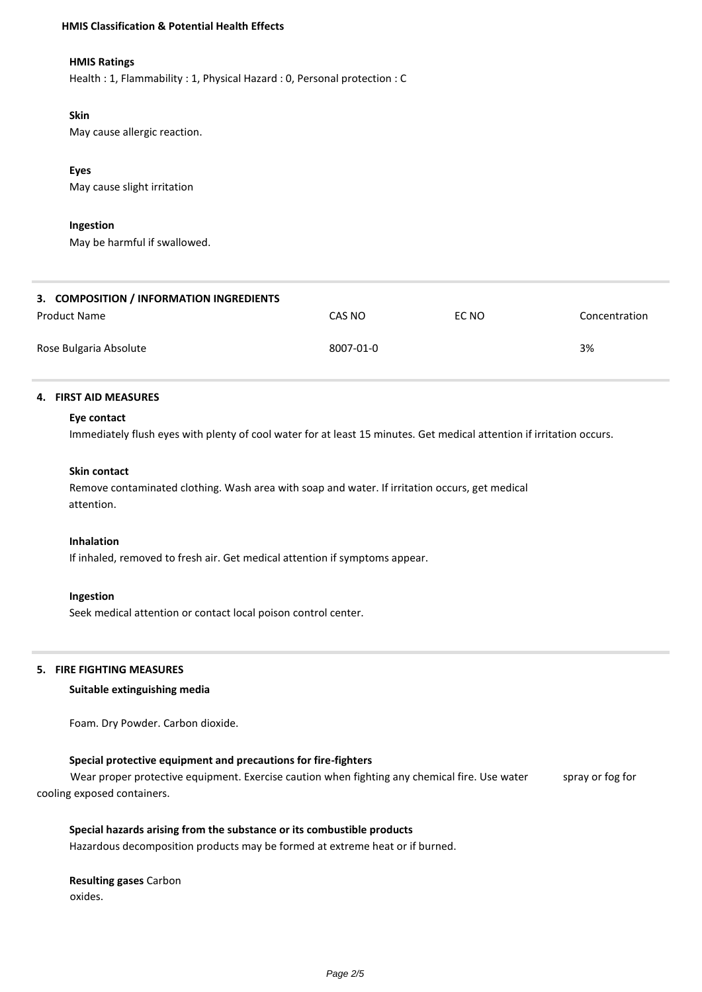#### **HMIS Classification & Potential Health Effects**

## **HMIS Ratings**

Health : 1, Flammability : 1, Physical Hazard : 0, Personal protection : C

#### **Skin**

May cause allergic reaction.

## **Eyes**

May cause slight irritation

#### **Ingestion**

May be harmful if swallowed.

| 3. COMPOSITION / INFORMATION INGREDIENTS |           |       |               |
|------------------------------------------|-----------|-------|---------------|
| Product Name                             | CAS NO    | EC NO | Concentration |
| Rose Bulgaria Absolute                   | 8007-01-0 |       | 3%            |

#### **4. FIRST AID MEASURES**

#### **Eye contact**

Immediately flush eyes with plenty of cool water for at least 15 minutes. Get medical attention if irritation occurs.

#### **Skin contact**

Remove contaminated clothing. Wash area with soap and water. If irritation occurs, get medical attention.

## **Inhalation**

If inhaled, removed to fresh air. Get medical attention if symptoms appear.

#### **Ingestion**

Seek medical attention or contact local poison control center.

#### **5. FIRE FIGHTING MEASURES**

#### **Suitable extinguishing media**

Foam. Dry Powder. Carbon dioxide.

## **Special protective equipment and precautions for fire-fighters**

Wear proper protective equipment. Exercise caution when fighting any chemical fire. Use water spray or fog for cooling exposed containers.

## **Special hazards arising from the substance or its combustible products**

Hazardous decomposition products may be formed at extreme heat or if burned.

## **Resulting gases** Carbon oxides.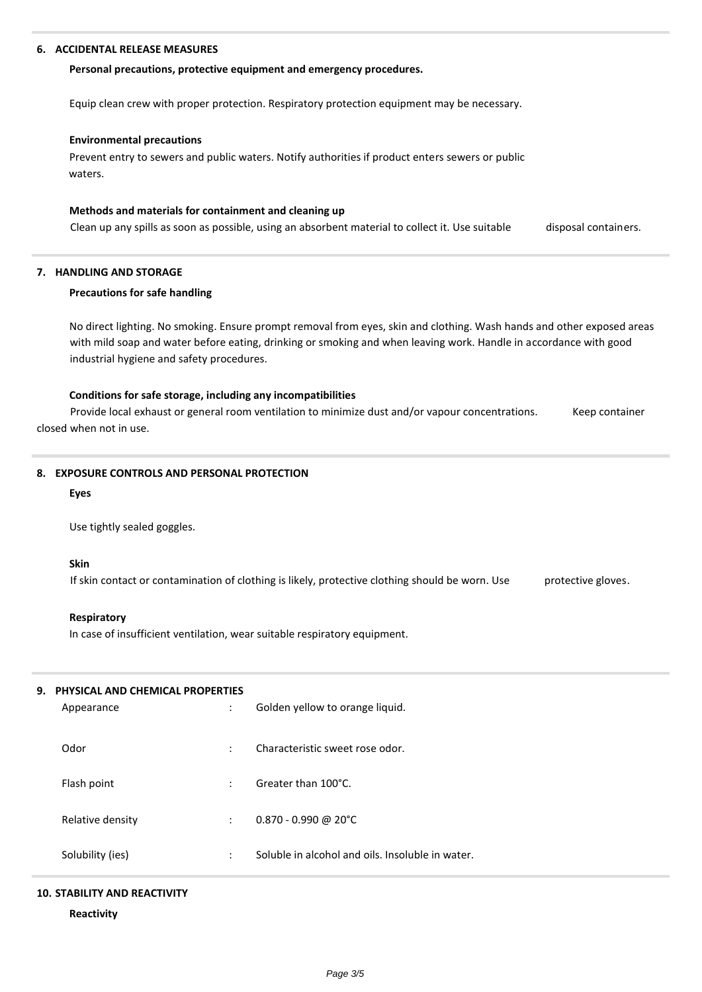#### **6. ACCIDENTAL RELEASE MEASURES**

#### **Personal precautions, protective equipment and emergency procedures.**

Equip clean crew with proper protection. Respiratory protection equipment may be necessary.

#### **Environmental precautions**

Prevent entry to sewers and public waters. Notify authorities if product enters sewers or public waters.

#### **Methods and materials for containment and cleaning up**

Clean up any spills as soon as possible, using an absorbent material to collect it. Use suitable disposal containers.

#### **7. HANDLING AND STORAGE**

#### **Precautions for safe handling**

No direct lighting. No smoking. Ensure prompt removal from eyes, skin and clothing. Wash hands and other exposed areas with mild soap and water before eating, drinking or smoking and when leaving work. Handle in accordance with good industrial hygiene and safety procedures.

#### **Conditions for safe storage, including any incompatibilities**

Provide local exhaust or general room ventilation to minimize dust and/or vapour concentrations. Keep container closed when not in use.

#### **8. EXPOSURE CONTROLS AND PERSONAL PROTECTION**

#### **Eyes**

Use tightly sealed goggles.

#### **Skin**

If skin contact or contamination of clothing is likely, protective clothing should be worn. Use protective gloves.

#### **Respiratory**

In case of insufficient ventilation, wear suitable respiratory equipment.

## **9. PHYSICAL AND CHEMICAL PROPERTIES**

| Appearance       | $\bullet$<br>$\cdot$ | Golden yellow to orange liquid.                  |
|------------------|----------------------|--------------------------------------------------|
| Odor             | $\bullet$            | Characteristic sweet rose odor.                  |
| Flash point      | $\bullet$<br>$\cdot$ | Greater than 100°C.                              |
| Relative density | ÷                    | $0.870 - 0.990$ @ 20°C                           |
| Solubility (ies) | ٠<br>$\bullet$       | Soluble in alcohol and oils. Insoluble in water. |

#### **10. STABILITY AND REACTIVITY**

**Reactivity**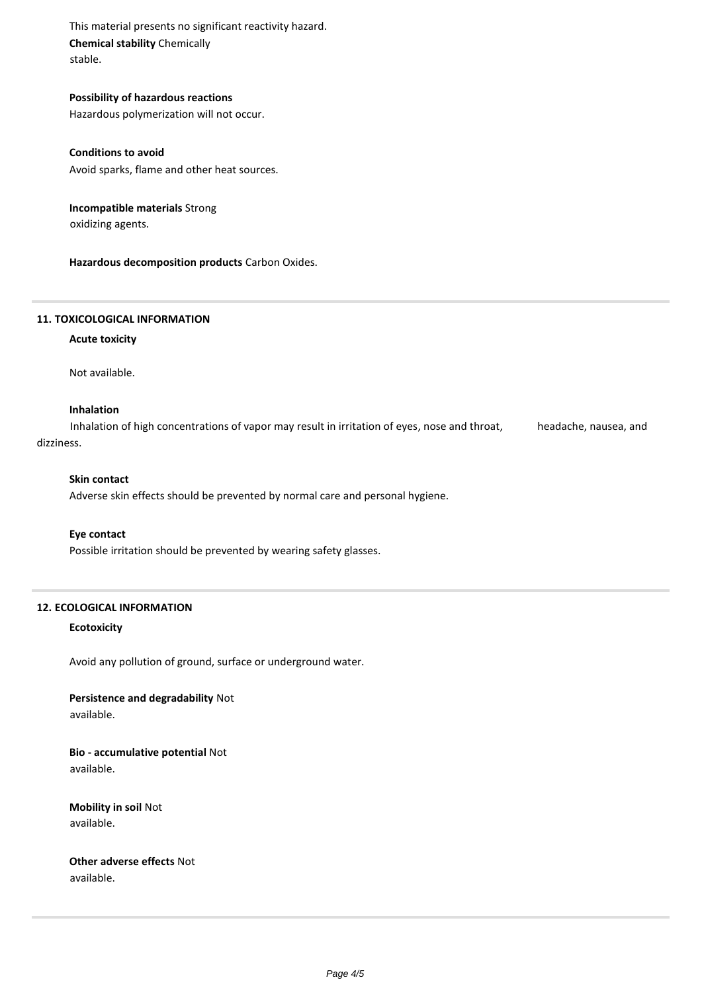This material presents no significant reactivity hazard. **Chemical stability** Chemically stable.

**Possibility of hazardous reactions** Hazardous polymerization will not occur.

**Conditions to avoid**

Avoid sparks, flame and other heat sources.

**Incompatible materials** Strong oxidizing agents.

**Hazardous decomposition products** Carbon Oxides.

## **11. TOXICOLOGICAL INFORMATION**

## **Acute toxicity**

Not available.

## **Inhalation**

Inhalation of high concentrations of vapor may result in irritation of eyes, nose and throat, headache, nausea, and dizziness.

#### **Skin contact**

Adverse skin effects should be prevented by normal care and personal hygiene.

## **Eye contact**

Possible irritation should be prevented by wearing safety glasses.

## **12. ECOLOGICAL INFORMATION**

#### **Ecotoxicity**

Avoid any pollution of ground, surface or underground water.

**Persistence and degradability** Not available.

**Bio - accumulative potential** Not available.

**Mobility in soil** Not available.

**Other adverse effects** Not available.